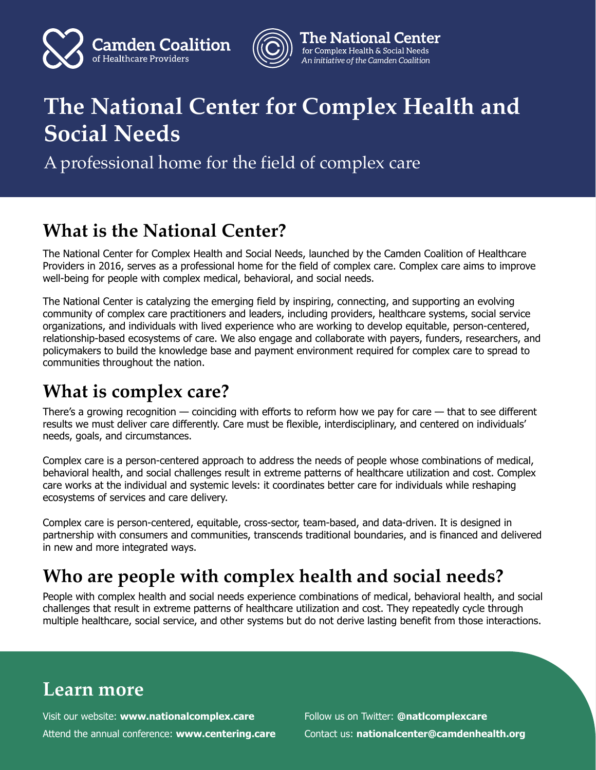



#### **The National Center** for Complex Health & Social Needs *An initiative of the Camden Coalition*

# **The National Center for Complex Health and Social Needs**

A professional home for the field of complex care

## **What is the National Center?**

The National Center for Complex Health and Social Needs, launched by the Camden Coalition of Healthcare Providers in 2016, serves as a professional home for the field of complex care. Complex care aims to improve well-being for people with complex medical, behavioral, and social needs.

The National Center is catalyzing the emerging field by inspiring, connecting, and supporting an evolving community of complex care practitioners and leaders, including providers, healthcare systems, social service organizations, and individuals with lived experience who are working to develop equitable, person-centered, relationship-based ecosystems of care. We also engage and collaborate with payers, funders, researchers, and policymakers to build the knowledge base and payment environment required for complex care to spread to communities throughout the nation.

### **What is complex care?**

There's a growing recognition — coinciding with efforts to reform how we pay for care — that to see different results we must deliver care differently. Care must be flexible, interdisciplinary, and centered on individuals' needs, goals, and circumstances.

Complex care is a person-centered approach to address the needs of people whose combinations of medical, behavioral health, and social challenges result in extreme patterns of healthcare utilization and cost. Complex care works at the individual and systemic levels: it coordinates better care for individuals while reshaping ecosystems of services and care delivery.

Complex care is person-centered, equitable, cross-sector, team-based, and data-driven. It is designed in partnership with consumers and communities, transcends traditional boundaries, and is financed and delivered in new and more integrated ways.

### **Who are people with complex health and social needs?**

People with complex health and social needs experience combinations of medical, behavioral health, and social challenges that result in extreme patterns of healthcare utilization and cost. They repeatedly cycle through multiple healthcare, social service, and other systems but do not derive lasting benefit from those interactions.

### **Learn more**

Visit our website: **[www.nationalcomplex.care](https://www.nationalcomplex.care/)** Attend the annual conference: **<www.centering.care>** Follow us on Twitter: **[@natlcomplexcare](https://twitter.com/natlcomplexcare)** Contact us: **nationalcenter@camdenhealth.org**